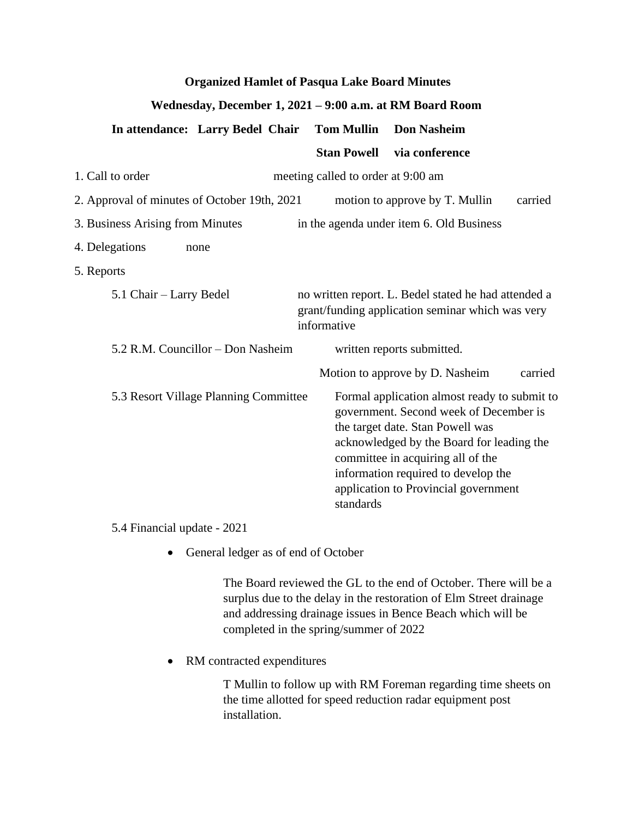## **Organized Hamlet of Pasqua Lake Board Minutes**

## **Wednesday, December 1, 2021 – 9:00 a.m. at RM Board Room**

| In attendance: Larry Bedel Chair                                                                                                                   |      |                                                                                                                                                                                                                                                                                                          | <b>Tom Mullin</b>  | <b>Don Nasheim</b>              |         |
|----------------------------------------------------------------------------------------------------------------------------------------------------|------|----------------------------------------------------------------------------------------------------------------------------------------------------------------------------------------------------------------------------------------------------------------------------------------------------------|--------------------|---------------------------------|---------|
|                                                                                                                                                    |      |                                                                                                                                                                                                                                                                                                          | <b>Stan Powell</b> | via conference                  |         |
| 1. Call to order                                                                                                                                   |      | meeting called to order at 9:00 am                                                                                                                                                                                                                                                                       |                    |                                 |         |
| 2. Approval of minutes of October 19th, 2021                                                                                                       |      |                                                                                                                                                                                                                                                                                                          |                    | motion to approve by T. Mullin  | carried |
| 3. Business Arising from Minutes                                                                                                                   |      | in the agenda under item 6. Old Business                                                                                                                                                                                                                                                                 |                    |                                 |         |
| 4. Delegations                                                                                                                                     | none |                                                                                                                                                                                                                                                                                                          |                    |                                 |         |
| 5. Reports                                                                                                                                         |      |                                                                                                                                                                                                                                                                                                          |                    |                                 |         |
| no written report. L. Bedel stated he had attended a<br>5.1 Chair – Larry Bedel<br>grant/funding application seminar which was very<br>informative |      |                                                                                                                                                                                                                                                                                                          |                    |                                 |         |
| 5.2 R.M. Councillor – Don Nasheim                                                                                                                  |      |                                                                                                                                                                                                                                                                                                          |                    | written reports submitted.      |         |
|                                                                                                                                                    |      |                                                                                                                                                                                                                                                                                                          |                    | Motion to approve by D. Nasheim | carried |
| 5.3 Resort Village Planning Committee                                                                                                              |      | Formal application almost ready to submit to<br>government. Second week of December is<br>the target date. Stan Powell was<br>acknowledged by the Board for leading the<br>committee in acquiring all of the<br>information required to develop the<br>application to Provincial government<br>standards |                    |                                 |         |

5.4 Financial update - 2021

• General ledger as of end of October

The Board reviewed the GL to the end of October. There will be a surplus due to the delay in the restoration of Elm Street drainage and addressing drainage issues in Bence Beach which will be completed in the spring/summer of 2022

• RM contracted expenditures

T Mullin to follow up with RM Foreman regarding time sheets on the time allotted for speed reduction radar equipment post installation.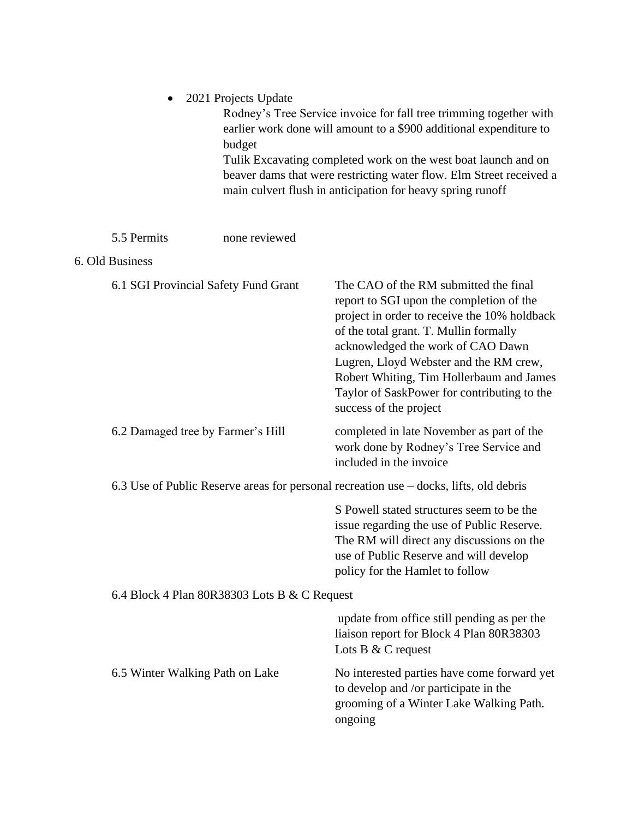## • 2021 Projects Update

Rodney's Tree Service invoice for fall tree trimming together with earlier work done will amount to a \$900 additional expenditure to budget Tulik Excavating completed work on the west boat launch and on beaver dams that were restricting water flow. Elm Street received a

main culvert flush in anticipation for heavy spring runoff

5.5 Permits none reviewed

## 6. Old Business

| 6.1 SGI Provincial Safety Fund Grant                                                   | The CAO of the RM submitted the final<br>report to SGI upon the completion of the<br>project in order to receive the 10% holdback<br>of the total grant. T. Mullin formally<br>acknowledged the work of CAO Dawn<br>Lugren, Lloyd Webster and the RM crew,<br>Robert Whiting, Tim Hollerbaum and James<br>Taylor of SaskPower for contributing to the<br>success of the project |  |  |  |
|----------------------------------------------------------------------------------------|---------------------------------------------------------------------------------------------------------------------------------------------------------------------------------------------------------------------------------------------------------------------------------------------------------------------------------------------------------------------------------|--|--|--|
| 6.2 Damaged tree by Farmer's Hill                                                      | completed in late November as part of the<br>work done by Rodney's Tree Service and<br>included in the invoice                                                                                                                                                                                                                                                                  |  |  |  |
| 6.3 Use of Public Reserve areas for personal recreation use – docks, lifts, old debris |                                                                                                                                                                                                                                                                                                                                                                                 |  |  |  |
|                                                                                        | S Powell stated structures seem to be the<br>issue regarding the use of Public Reserve.<br>The RM will direct any discussions on the<br>use of Public Reserve and will develop<br>policy for the Hamlet to follow                                                                                                                                                               |  |  |  |
| 6.4 Block 4 Plan 80R38303 Lots B & C Request                                           |                                                                                                                                                                                                                                                                                                                                                                                 |  |  |  |
|                                                                                        | update from office still pending as per the<br>liaison report for Block 4 Plan 80R38303<br>Lots B $&$ C request                                                                                                                                                                                                                                                                 |  |  |  |
| 6.5 Winter Walking Path on Lake                                                        | No interested parties have come forward yet<br>to develop and /or participate in the<br>grooming of a Winter Lake Walking Path.<br>ongoing                                                                                                                                                                                                                                      |  |  |  |